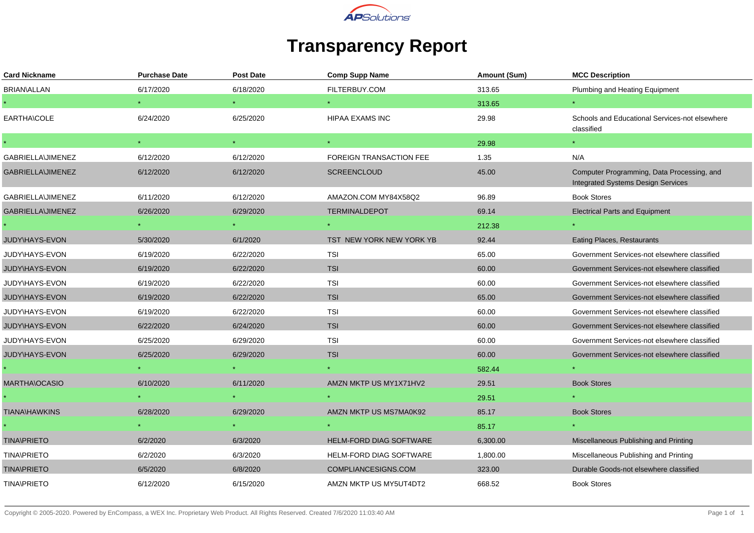

## **Transparency Report**

| <b>Card Nickname</b>     | <b>Purchase Date</b> | <b>Post Date</b> | <b>Comp Supp Name</b>          | Amount (Sum) | <b>MCC Description</b>                                                                  |
|--------------------------|----------------------|------------------|--------------------------------|--------------|-----------------------------------------------------------------------------------------|
| <b>BRIAN\ALLAN</b>       | 6/17/2020            | 6/18/2020        | FILTERBUY.COM                  | 313.65       | Plumbing and Heating Equipment                                                          |
|                          |                      | $\star$ .        |                                | 313.65       |                                                                                         |
| EARTHA\COLE              | 6/24/2020            | 6/25/2020        | <b>HIPAA EXAMS INC</b>         | 29.98        | Schools and Educational Services-not elsewhere<br>classified                            |
|                          | $\star$              | $\star$ .        | $\star$                        | 29.98        | $\star$                                                                                 |
| GABRIELLA\JIMENEZ        | 6/12/2020            | 6/12/2020        | <b>FOREIGN TRANSACTION FEE</b> | 1.35         | N/A                                                                                     |
| GABRIELLA\JIMENEZ        | 6/12/2020            | 6/12/2020        | <b>SCREENCLOUD</b>             | 45.00        | Computer Programming, Data Processing, and<br><b>Integrated Systems Design Services</b> |
| <b>GABRIELLA\JIMENEZ</b> | 6/11/2020            | 6/12/2020        | AMAZON.COM MY84X58Q2           | 96.89        | <b>Book Stores</b>                                                                      |
| GABRIELLA\JIMENEZ        | 6/26/2020            | 6/29/2020        | <b>TERMINALDEPOT</b>           | 69.14        | <b>Electrical Parts and Equipment</b>                                                   |
|                          |                      |                  |                                | 212.38       |                                                                                         |
| JUDY\HAYS-EVON           | 5/30/2020            | 6/1/2020         | TST NEW YORK NEW YORK YB       | 92.44        | Eating Places, Restaurants                                                              |
| JUDY\HAYS-EVON           | 6/19/2020            | 6/22/2020        | <b>TSI</b>                     | 65.00        | Government Services-not elsewhere classified                                            |
| JUDY\HAYS-EVON           | 6/19/2020            | 6/22/2020        | <b>TSI</b>                     | 60.00        | Government Services-not elsewhere classified                                            |
| JUDY\HAYS-EVON           | 6/19/2020            | 6/22/2020        | <b>TSI</b>                     | 60.00        | Government Services-not elsewhere classified                                            |
| JUDY\HAYS-EVON           | 6/19/2020            | 6/22/2020        | <b>TSI</b>                     | 65.00        | Government Services-not elsewhere classified                                            |
| JUDY\HAYS-EVON           | 6/19/2020            | 6/22/2020        | <b>TSI</b>                     | 60.00        | Government Services-not elsewhere classified                                            |
| JUDY\HAYS-EVON           | 6/22/2020            | 6/24/2020        | <b>TSI</b>                     | 60.00        | Government Services-not elsewhere classified                                            |
| JUDY\HAYS-EVON           | 6/25/2020            | 6/29/2020        | <b>TSI</b>                     | 60.00        | Government Services-not elsewhere classified                                            |
| JUDY\HAYS-EVON           | 6/25/2020            | 6/29/2020        | <b>TSI</b>                     | 60.00        | Government Services-not elsewhere classified                                            |
|                          |                      |                  |                                | 582.44       |                                                                                         |
| <b>MARTHA\OCASIO</b>     | 6/10/2020            | 6/11/2020        | AMZN MKTP US MY1X71HV2         | 29.51        | <b>Book Stores</b>                                                                      |
|                          |                      |                  |                                | 29.51        |                                                                                         |
| <b>TIANA\HAWKINS</b>     | 6/28/2020            | 6/29/2020        | AMZN MKTP US MS7MA0K92         | 85.17        | <b>Book Stores</b>                                                                      |
|                          |                      |                  |                                | 85.17        |                                                                                         |
| <b>TINA\PRIETO</b>       | 6/2/2020             | 6/3/2020         | HELM-FORD DIAG SOFTWARE        | 6,300.00     | Miscellaneous Publishing and Printing                                                   |
| <b>TINA\PRIETO</b>       | 6/2/2020             | 6/3/2020         | <b>HELM-FORD DIAG SOFTWARE</b> | 1,800.00     | Miscellaneous Publishing and Printing                                                   |
| <b>TINA\PRIETO</b>       | 6/5/2020             | 6/8/2020         | COMPLIANCESIGNS.COM            | 323.00       | Durable Goods-not elsewhere classified                                                  |
| <b>TINA\PRIETO</b>       | 6/12/2020            | 6/15/2020        | AMZN MKTP US MY5UT4DT2         | 668.52       | <b>Book Stores</b>                                                                      |
|                          |                      |                  |                                |              |                                                                                         |